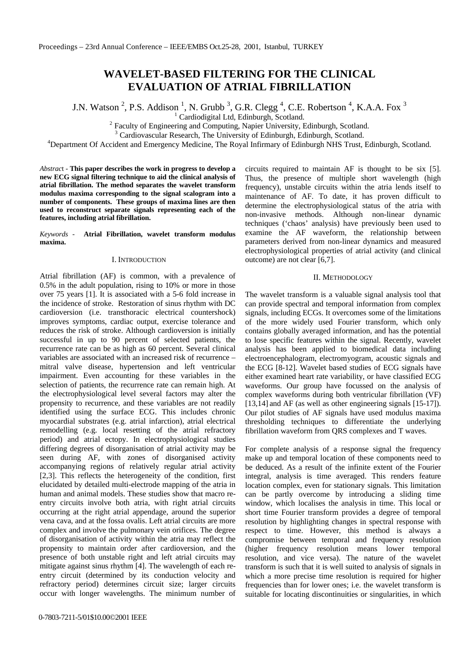# **WAVELET-BASED FILTERING FOR THE CLINICAL EVALUATION OF ATRIAL FIBRILLATION**

J.N. Watson<sup>2</sup>, P.S. Addison<sup>1</sup>, N. Grubb<sup>3</sup>, G.R. Clegg<sup>4</sup>, C.E. Robertson<sup>4</sup>, K.A.A. Fox<sup>3</sup>

<sup>1</sup> Cardiodigital Ltd, Edinburgh, Scotland.

 $2^2$  Faculty of Engineering and Computing, Napier University, Edinburgh, Scotland.

<sup>3</sup> Cardiovascular Research, The University of Edinburgh, Edinburgh, Scotland.

<sup>4</sup>Department Of Accident and Emergency Medicine, The Royal Infirmary of Edinburgh NHS Trust, Edinburgh, Scotland.

*Abstrac*t - **This paper describes the work in progress to develop a new ECG signal filtering technique to aid the clinical analysis of atrial fibrillation. The method separates the wavelet transform modulus maxima corresponding to the signal scalogram into a number of components. These groups of maxima lines are then used to reconstruct separate signals representing each of the features, including atrial fibrillation.**

*Keywords -* **Atrial Fibrillation, wavelet transform modulus maxima.**

### I. INTRODUCTION

Atrial fibrillation (AF) is common, with a prevalence of 0.5% in the adult population, rising to 10% or more in those over 75 years [1]. It is associated with a 5-6 fold increase in the incidence of stroke. Restoration of sinus rhythm with DC cardioversion (i.e. transthoracic electrical countershock) improves symptoms, cardiac output, exercise tolerance and reduces the risk of stroke. Although cardioversion is initially successful in up to 90 percent of selected patients, the recurrence rate can be as high as 60 percent. Several clinical variables are associated with an increased risk of recurrence – mitral valve disease, hypertension and left ventricular impairment. Even accounting for these variables in the selection of patients, the recurrence rate can remain high. At the electrophysiological level several factors may alter the propensity to recurrence, and these variables are not readily identified using the surface ECG. This includes chronic myocardial substrates (e.g. atrial infarction), atrial electrical remodelling (e.g. local resetting of the atrial refractory period) and atrial ectopy. In electrophysiological studies differing degrees of disorganisation of atrial activity may be seen during AF, with zones of disorganised activity accompanying regions of relatively regular atrial activity [2,3]. This reflects the heterogeneity of the condition, first elucidated by detailed multi-electrode mapping of the atria in human and animal models. These studies show that macro reentry circuits involve both atria, with right atrial circuits occurring at the right atrial appendage, around the superior vena cava, and at the fossa ovalis. Left atrial circuits are more complex and involve the pulmonary vein orifices. The degree of disorganisation of activity within the atria may reflect the propensity to maintain order after cardioversion, and the presence of both unstable right and left atrial circuits may mitigate against sinus rhythm [4]. The wavelength of each reentry circuit (determined by its conduction velocity and refractory period) determines circuit size; larger circuits occur with longer wavelengths. The minimum number of

circuits required to maintain AF is thought to be six [5]. Thus, the presence of multiple short wavelength (high frequency), unstable circuits within the atria lends itself to maintenance of AF. To date, it has proven difficult to determine the electrophysiological status of the atria with non-invasive methods. Although non-linear dynamic techniques ('chaos' analysis) have previously been used to examine the AF waveform, the relationship between parameters derived from non-linear dynamics and measured electrophysiological properties of atrial activity (and clinical outcome) are not clear [6,7].

### II. METHODOLOGY

The wavelet transform is a valuable signal analysis tool that can provide spectral and temporal information from complex signals, including ECGs. It overcomes some of the limitations of the more widely used Fourier transform, which only contains globally averaged information, and has the potential to lose specific features within the signal. Recently, wavelet analysis has been applied to biomedical data including electroencephalogram, electromyogram, acoustic signals and the ECG [8-12]. Wavelet based studies of ECG signals have either examined heart rate variability, or have classified ECG waveforms. Our group have focussed on the analysis of complex waveforms during both ventricular fibrillation (VF) [13,14] and AF (as well as other engineering signals [15-17]). Our pilot studies of AF signals have used modulus maxima thresholding techniques to differentiate the underlying fibrillation waveform from QRS complexes and T waves.

For complete analysis of a response signal the frequency make up and temporal location of these components need to be deduced. As a result of the infinite extent of the Fourier integral, analysis is time averaged. This renders feature location complex, even for stationary signals. This limitation can be partly overcome by introducing a sliding time window, which localises the analysis in time. This local or short time Fourier transform provides a degree of temporal resolution by highlighting changes in spectral response with respect to time. However, this method is always a compromise between temporal and frequency resolution (higher frequency resolution means lower temporal resolution, and vice versa). The nature of the wavelet transform is such that it is well suited to analysis of signals in which a more precise time resolution is required for higher frequencies than for lower ones; i.e. the wavelet transform is suitable for locating discontinuities or singularities, in which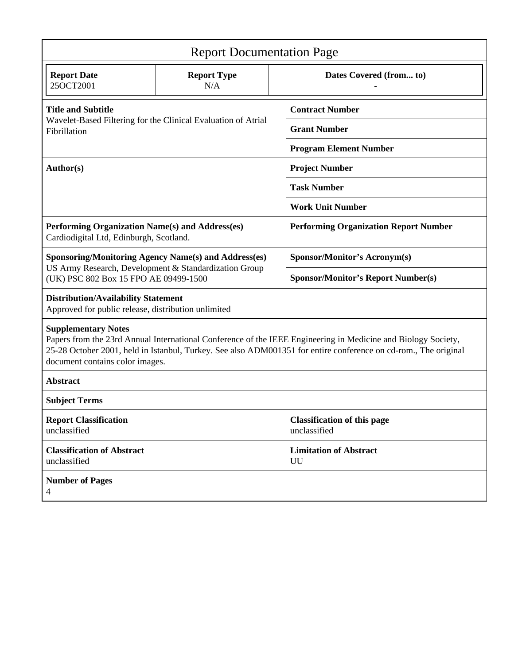| <b>Report Documentation Page</b>                                                                                                                                                                                                                                                                  |                           |                                                    |
|---------------------------------------------------------------------------------------------------------------------------------------------------------------------------------------------------------------------------------------------------------------------------------------------------|---------------------------|----------------------------------------------------|
| <b>Report Date</b><br>25OCT2001                                                                                                                                                                                                                                                                   | <b>Report Type</b><br>N/A | Dates Covered (from to)                            |
| <b>Title and Subtitle</b><br>Wavelet-Based Filtering for the Clinical Evaluation of Atrial<br>Fibrillation                                                                                                                                                                                        |                           | <b>Contract Number</b>                             |
|                                                                                                                                                                                                                                                                                                   |                           | <b>Grant Number</b>                                |
|                                                                                                                                                                                                                                                                                                   |                           | <b>Program Element Number</b>                      |
| Author(s)                                                                                                                                                                                                                                                                                         |                           | <b>Project Number</b>                              |
|                                                                                                                                                                                                                                                                                                   |                           | <b>Task Number</b>                                 |
|                                                                                                                                                                                                                                                                                                   |                           | <b>Work Unit Number</b>                            |
| Performing Organization Name(s) and Address(es)<br>Cardiodigital Ltd, Edinburgh, Scotland.                                                                                                                                                                                                        |                           | <b>Performing Organization Report Number</b>       |
| <b>Sponsoring/Monitoring Agency Name(s) and Address(es)</b><br>US Army Research, Development & Standardization Group<br>(UK) PSC 802 Box 15 FPO AE 09499-1500                                                                                                                                     |                           | <b>Sponsor/Monitor's Acronym(s)</b>                |
|                                                                                                                                                                                                                                                                                                   |                           | <b>Sponsor/Monitor's Report Number(s)</b>          |
| <b>Distribution/Availability Statement</b><br>Approved for public release, distribution unlimited                                                                                                                                                                                                 |                           |                                                    |
| <b>Supplementary Notes</b><br>Papers from the 23rd Annual International Conference of the IEEE Engineering in Medicine and Biology Society,<br>25-28 October 2001, held in Istanbul, Turkey. See also ADM001351 for entire conference on cd-rom., The original<br>document contains color images. |                           |                                                    |
| <b>Abstract</b>                                                                                                                                                                                                                                                                                   |                           |                                                    |
| <b>Subject Terms</b>                                                                                                                                                                                                                                                                              |                           |                                                    |
| <b>Report Classification</b><br>unclassified                                                                                                                                                                                                                                                      |                           | <b>Classification of this page</b><br>unclassified |
| <b>Classification of Abstract</b><br>unclassified                                                                                                                                                                                                                                                 |                           | <b>Limitation of Abstract</b><br>UU                |
| <b>Number of Pages</b><br>4                                                                                                                                                                                                                                                                       |                           |                                                    |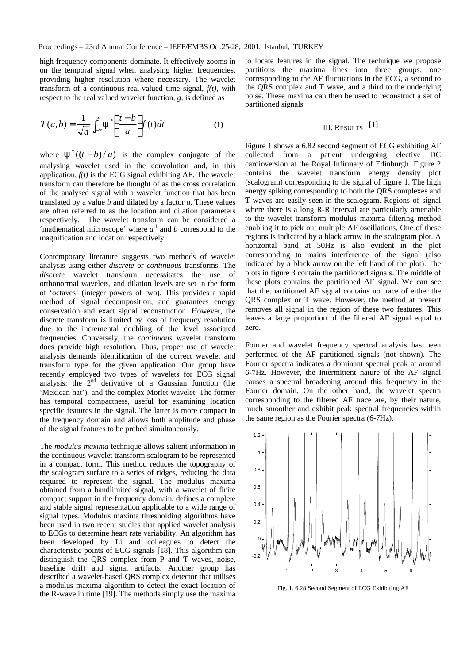high frequency components dominate. It effectively zooms in on the temporal signal when analysing higher frequencies, providing higher resolution where necessary. The wavelet transform of a continuous real-valued time signal, *f(t)*, with respect to the real valued wavelet function, *g*, is defined as

$$
T(a,b) = \frac{1}{\sqrt{a}} \int_{-\infty}^{\infty} y^{-s} \left( \frac{t-b}{a} \right) f(t) dt
$$
 (1) III. RESULTS [1]

where  $y^*((t-b)/a)$  is the complex conjugate of the analysing wavelet used in the convolution and, in this application,  $f(t)$  is the ECG signal exhibiting AF. The wavelet transform can therefore be thought of as the cross correlation of the analysed signal with a wavelet function that has been translated by a value *b* and dilated by a factor *a*. These values are often referred to as the location and dilation parameters respectively. The wavelet transform can be considered a 'mathematical microscope' where  $a^{-1}$  and  $b$  correspond to the magnification and location respectively.

Contemporary literature suggests two methods of wavelet analysis using either *discrete* or *continuous* transforms. The *discrete* wavelet transform necessitates the use of orthonormal wavelets, and dilation levels are set in the form of 'octaves' (integer powers of two). This provides a rapid method of signal decomposition, and guarantees energy conservation and exact signal reconstruction. However, the discrete transform is limited by loss of frequency resolution due to the incremental doubling of the level associated frequencies. Conversely, the *continuous* wavelet transform does provide high resolution. Thus, proper use of wavelet analysis demands identification of the correct wavelet and transform type for the given application. Our group have recently employed two types of wavelets for ECG signal analysis: the  $2<sup>nd</sup>$  derivative of a Gaussian function (the 'Mexican hat'), and the complex Morlet wavelet. The former has temporal compactness, useful for examining location specific features in the signal. The latter is more compact in the frequency domain and allows both amplitude and phase of the signal features to be probed simultaneously.

The *modulus maxima* technique allows salient information in the continuous wavelet transform scalogram to be represented in a compact form. This method reduces the topography of the scalogram surface to a series of ridges, reducing the data required to represent the signal. The modulus maxima obtained from a bandlimited signal, with a wavelet of finite compact support in the frequency domain, defines a complete and stable signal representation applicable to a wide range of signal types. Modulus maxima thresholding algorithms have been used in two recent studies that applied wavelet analysis to ECGs to determine heart rate variability. An algorithm has been developed by Li and colleagues to detect the characteristic points of ECG signals [18]. This algorithm can distinguish the QRS complex from P and T waves, noise, baseline drift and signal artifacts. Another group has described a wavelet-based QRS complex detector that utilises a modulus maxima algorithm to detect the exact location of the R-wave in time [19]. The methods simply use the maxima

to locate features in the signal. The technique we propose partitions the maxima lines into three groups: one corresponding to the AF fluctuations in the ECG, a second to the QRS complex and T wave, and a third to the underlying noise. These maxima can then be used to reconstruct a set of partitioned signals.

Figure 1 shows a 6.82 second segment of ECG exhibiting AF collected from a patient undergoing elective DC cardioversion at the Royal Infirmary of Edinburgh. Figure 2 contains the wavelet transform energy density plot (scalogram) corresponding to the signal of figure 1. The high energy spiking corresponding to both the QRS complexes and T waves are easily seen in the scalogram. Regions of signal where there is a long R-R interval are particularly amenable to the wavelet transform modulus maxima filtering method enabling it to pick out multiple AF oscillations. One of these regions is indicated by a black arrow in the scalogram plot. A horizontal band at 50Hz is also evident in the plot corresponding to mains interference of the signal (also indicated by a black arrow on the left hand of the plot). The plots in figure 3 contain the partitioned signals. The middle of these plots contains the partitioned AF signal. We can see that the partitioned AF signal contains no trace of either the QRS complex or T wave. However, the method at present removes all signal in the region of these two features. This leaves a large proportion of the filtered AF signal equal to zero.

Fourier and wavelet frequency spectral analysis has been performed of the AF partitioned signals (not shown). The Fourier spectra indicates a dominant spectral peak at around 6-7Hz. However, the intermittent nature of the AF signal causes a spectral broadening around this frequency in the Fourier domain. On the other hand, the wavelet spectra corresponding to the filtered AF trace are, by their nature, much smoother and exhibit peak spectral frequencies within the same region as the Fourier spectra (6-7Hz).



Fig. 1. 6.28 Second Segment of ECG Exhibiting AF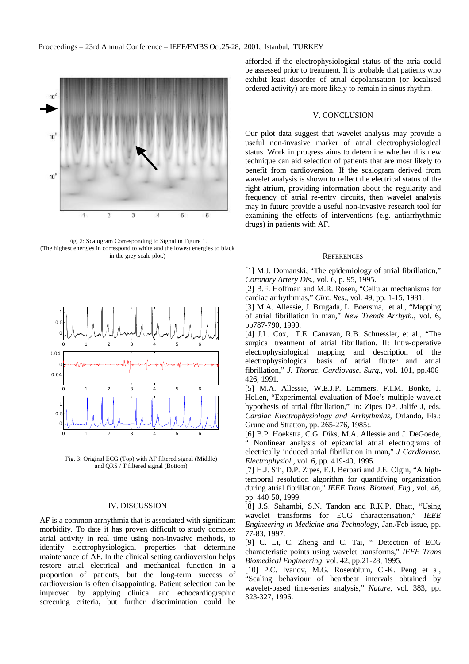

Fig. 2: Scalogram Corresponding to Signal in Figure 1. (The highest energies in correspond to white and the lowest energies to black in the grey scale plot.)



Fig. 3: Original ECG (Top) with AF filtered signal (Middle) and QRS / T filtered signal (Bottom)

### IV. DISCUSSION

AF is a common arrhythmia that is associated with significant morbidity. To date it has proven difficult to study complex atrial activity in real time using non-invasive methods, to identify electrophysiological properties that determine maintenance of AF. In the clinical setting cardioversion helps restore atrial electrical and mechanical function in a proportion of patients, but the long-term success of cardioversion is often disappointing. Patient selection can be improved by applying clinical and echocardiographic screening criteria, but further discrimination could be

afforded if the electrophysiological status of the atria could be assessed prior to treatment. It is probable that patients who exhibit least disorder of atrial depolarisation (or localised ordered activity) are more likely to remain in sinus rhythm.

## V. CONCLUSION

Our pilot data suggest that wavelet analysis may provide a useful non-invasive marker of atrial electrophysiological status. Work in progress aims to determine whether this new technique can aid selection of patients that are most likely to benefit from cardioversion. If the scalogram derived from wavelet analysis is shown to reflect the electrical status of the right atrium, providing information about the regularity and frequency of atrial re-entry circuits, then wavelet analysis may in future provide a useful non-invasive research tool for examining the effects of interventions (e.g. antiarrhythmic drugs) in patients with AF.

### **REFERENCES**

[1] M.J. Domanski, "The epidemiology of atrial fibrillation," *Coronary Artery Dis.,* vol. 6, p. 95, 1995.

[2] B.F. Hoffman and M.R. Rosen, "Cellular mechanisms for cardiac arrhythmias," *Circ. Res.,* vol. 49, pp. 1-15, 1981.

[3] M.A. Allessie, J. Brugada, L. Boersma, et al., "Mapping of atrial fibrillation in man," *New Trends Arrhyth.,* vol. 6, pp787-790, 1990.

[4] J.L. Cox, T.E. Canavan, R.B. Schuessler, et al., "The surgical treatment of atrial fibrillation. II: Intra-operative electrophysiological mapping and description of the electrophysiological basis of atrial flutter and atrial fibrillation," *J. Thorac. Cardiovasc. Surg.,* vol. 101, pp.406- 426, 1991.

[5] M.A. Allessie, W.E.J.P. Lammers, F.I.M. Bonke, J. Hollen, "Experimental evaluation of Moe's multiple wavelet hypothesis of atrial fibrillation," In: Zipes DP, Jalife J, eds. *Cardiac Electrophysiology and Arrhythmias,* Orlando, Fla.: Grune and Stratton, pp. 265-276, 1985:.

[6] B.P. Hoekstra, C.G. Diks, M.A. Allessie and J. DeGoede, " Nonlinear analysis of epicardial atrial electrograms of electrically induced atrial fibrillation in man," *J Cardiovasc. Electrophysiol.,* vol. 6, pp. 419-40, 1995.

[7] H.J. Sih, D.P. Zipes, E.J. Berbari and J.E. Olgin, "A hightemporal resolution algorithm for quantifying organization during atrial fibrillation," *IEEE Trans. Biomed. Eng.,* vol. 46, pp. 440-50, 1999.

[8] J.S. Sahambi, S.N. Tandon and R.K.P. Bhatt, "Using wavelet transforms for ECG characterisation," *IEEE Engineering in Medicine and Technology,* Jan./Feb issue, pp. 77-83, 1997.

[9] C. Li, C. Zheng and C. Tai, " Detection of ECG characteristic points using wavelet transforms," *IEEE Trans Biomedical Engineering,* vol. 42, pp.21-28, 1995.

[10] P.C. Ivanov, M.G. Rosenblum, C.-K. Peng et al, "Scaling behaviour of heartbeat intervals obtained by wavelet-based time-series analysis," *Nature*, vol. 383, pp. 323-327, 1996.